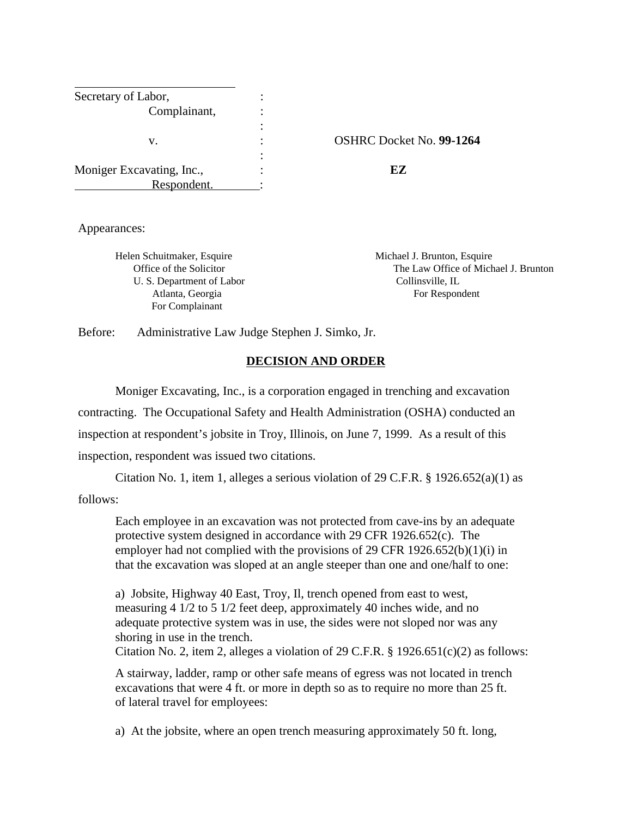| Secretary of Labor,       |   |                                 |
|---------------------------|---|---------------------------------|
| Complainant,              |   |                                 |
|                           |   |                                 |
| v.                        | ٠ | <b>OSHRC Docket No. 99-1264</b> |
|                           | ٠ |                                 |
| Moniger Excavating, Inc., |   | EZ                              |
| Respondent.               |   |                                 |

Appearances:

Helen Schuitmaker, Esquire Michael J. Brunton, Esquire U. S. Department of Labor Collinsville, IL For Complainant

 Office of the Solicitor The Law Office of Michael J. Brunton Atlanta, Georgia For Respondent

Before: Administrative Law Judge Stephen J. Simko, Jr.

# **DECISION AND ORDER**

 Moniger Excavating, Inc., is a corporation engaged in trenching and excavation contracting. The Occupational Safety and Health Administration (OSHA) conducted an inspection at respondent's jobsite in Troy, Illinois, on June 7, 1999. As a result of this inspection, respondent was issued two citations.

Citation No. 1, item 1, alleges a serious violation of 29 C.F.R. § 1926.652(a)(1) as follows:

Each employee in an excavation was not protected from cave-ins by an adequate protective system designed in accordance with 29 CFR 1926.652(c). The employer had not complied with the provisions of 29 CFR 1926.652(b)(1)(i) in that the excavation was sloped at an angle steeper than one and one/half to one:

a) Jobsite, Highway 40 East, Troy, Il, trench opened from east to west, measuring 4 1/2 to 5 1/2 feet deep, approximately 40 inches wide, and no adequate protective system was in use, the sides were not sloped nor was any shoring in use in the trench.

Citation No. 2, item 2, alleges a violation of 29 C.F.R.  $\S 1926.651(c)(2)$  as follows:

A stairway, ladder, ramp or other safe means of egress was not located in trench excavations that were 4 ft. or more in depth so as to require no more than 25 ft. of lateral travel for employees:

a) At the jobsite, where an open trench measuring approximately 50 ft. long,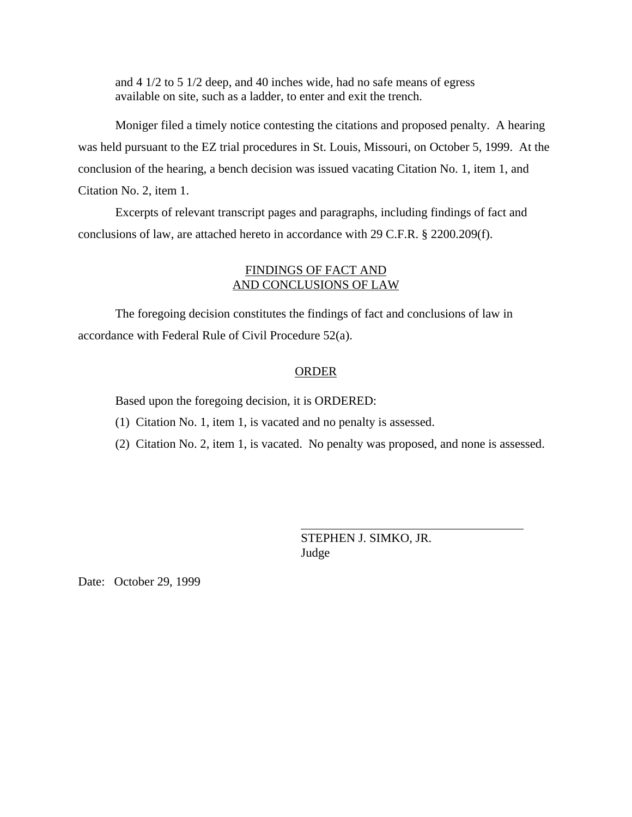and 4 1/2 to 5 1/2 deep, and 40 inches wide, had no safe means of egress available on site, such as a ladder, to enter and exit the trench.

Moniger filed a timely notice contesting the citations and proposed penalty. A hearing was held pursuant to the EZ trial procedures in St. Louis, Missouri, on October 5, 1999. At the conclusion of the hearing, a bench decision was issued vacating Citation No. 1, item 1, and Citation No. 2, item 1.

Excerpts of relevant transcript pages and paragraphs, including findings of fact and conclusions of law, are attached hereto in accordance with 29 C.F.R. § 2200.209(f).

# FINDINGS OF FACT AND AND CONCLUSIONS OF LAW

The foregoing decision constitutes the findings of fact and conclusions of law in accordance with Federal Rule of Civil Procedure 52(a).

## ORDER

 $\overline{a}$ 

Based upon the foregoing decision, it is ORDERED:

(1) Citation No. 1, item 1, is vacated and no penalty is assessed.

(2) Citation No. 2, item 1, is vacated. No penalty was proposed, and none is assessed.

STEPHEN J. SIMKO, JR. Judge

Date: October 29, 1999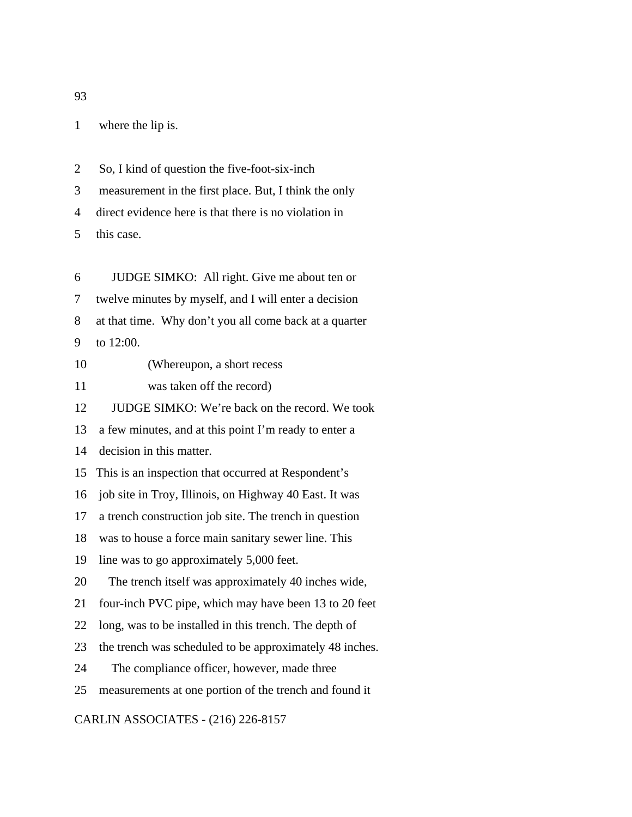1 where the lip is.

2 So, I kind of question the five-foot-six-inch

3 measurement in the first place. But, I think the only

4 direct evidence here is that there is no violation in

5 this case.

6 JUDGE SIMKO: All right. Give me about ten or 7 twelve minutes by myself, and I will enter a decision 8 at that time. Why don't you all come back at a quarter 9 to 12:00.

10 (Whereupon, a short recess

11 was taken off the record)

12 JUDGE SIMKO: We're back on the record. We took

13 a few minutes, and at this point I'm ready to enter a

14 decision in this matter.

15 This is an inspection that occurred at Respondent's

16 job site in Troy, Illinois, on Highway 40 East. It was

17 a trench construction job site. The trench in question

18 was to house a force main sanitary sewer line. This

19 line was to go approximately 5,000 feet.

20 The trench itself was approximately 40 inches wide,

21 four-inch PVC pipe, which may have been 13 to 20 feet

22 long, was to be installed in this trench. The depth of

23 the trench was scheduled to be approximately 48 inches.

24 The compliance officer, however, made three

25 measurements at one portion of the trench and found it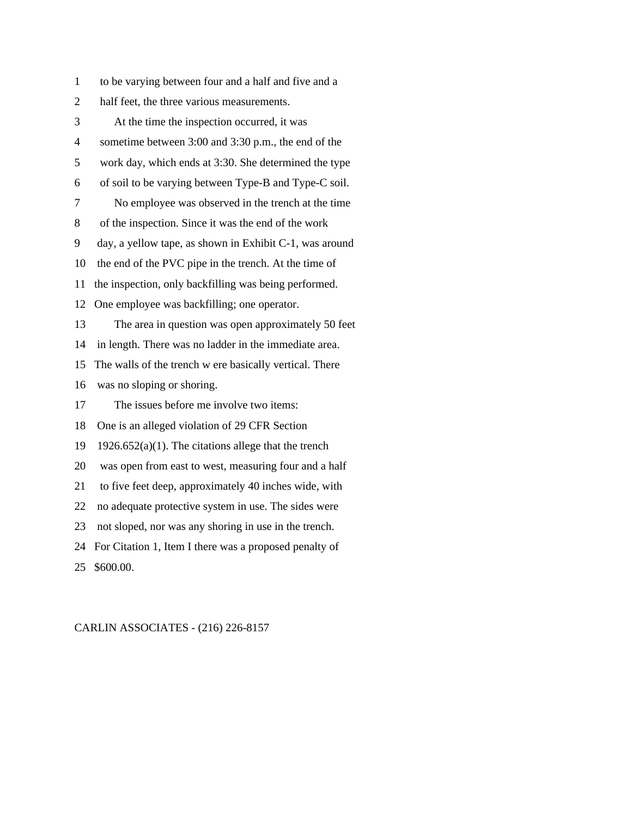1 to be varying between four and a half and five and a 2 half feet, the three various measurements. 3 At the time the inspection occurred, it was 4 sometime between 3:00 and 3:30 p.m., the end of the 5 work day, which ends at 3:30. She determined the type 6 of soil to be varying between Type-B and Type-C soil. 7 No employee was observed in the trench at the time 8 of the inspection. Since it was the end of the work 9 day, a yellow tape, as shown in Exhibit C-1, was around 10 the end of the PVC pipe in the trench. At the time of 11 the inspection, only backfilling was being performed. 12 One employee was backfilling; one operator. 13 The area in question was open approximately 50 feet 14 in length. There was no ladder in the immediate area. 15 The walls of the trench w ere basically vertical. There 16 was no sloping or shoring. 17 The issues before me involve two items: 18 One is an alleged violation of 29 CFR Section 19 1926.652(a)(1). The citations allege that the trench 20 was open from east to west, measuring four and a half 21 to five feet deep, approximately 40 inches wide, with 22 no adequate protective system in use. The sides were 23 not sloped, nor was any shoring in use in the trench. 24 For Citation 1, Item I there was a proposed penalty of 25 \$600.00.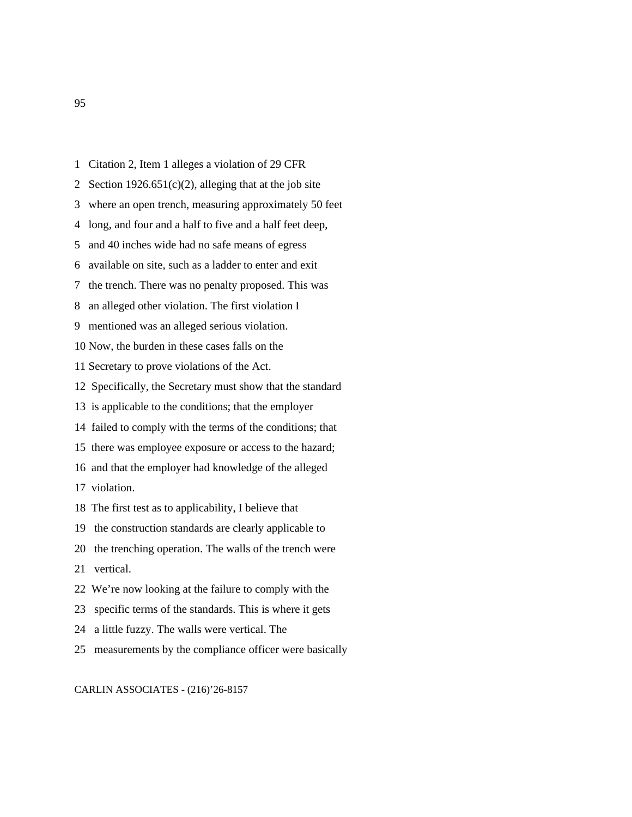- 1 Citation 2, Item 1 alleges a violation of 29 CFR
- 2 Section 1926.651 $(c)(2)$ , alleging that at the job site
- 3 where an open trench, measuring approximately 50 feet
- 4 long, and four and a half to five and a half feet deep,
- 5 and 40 inches wide had no safe means of egress
- 6 available on site, such as a ladder to enter and exit
- 7 the trench. There was no penalty proposed. This was
- 8 an alleged other violation. The first violation I
- 9 mentioned was an alleged serious violation.
- 10 Now, the burden in these cases falls on the
- 11 Secretary to prove violations of the Act.
- 12 Specifically, the Secretary must show that the standard
- 13 is applicable to the conditions; that the employer
- 14 failed to comply with the terms of the conditions; that
- 15 there was employee exposure or access to the hazard;
- 16 and that the employer had knowledge of the alleged
- 17 violation.
- 18 The first test as to applicability, I believe that
- 19 the construction standards are clearly applicable to
- 20 the trenching operation. The walls of the trench were
- 21 vertical.
- 22 We're now looking at the failure to comply with the
- 23 specific terms of the standards. This is where it gets
- 24 a little fuzzy. The walls were vertical. The
- 25 measurements by the compliance officer were basically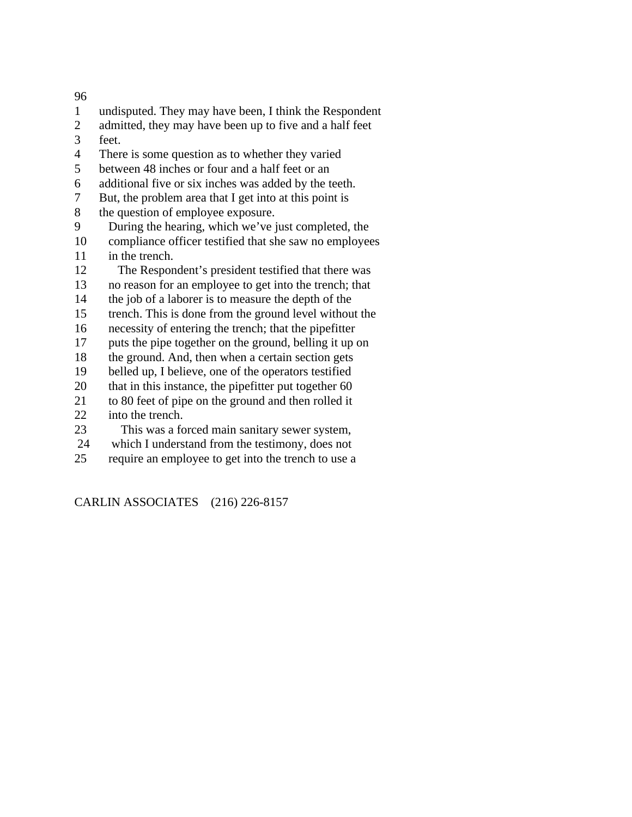- 1 undisputed. They may have been, I think the Respondent
- 2 admitted, they may have been up to five and a half feet
- 3 feet.
- 4 There is some question as to whether they varied
- 5 between 48 inches or four and a half feet or an
- 6 additional five or six inches was added by the teeth.
- 7 But, the problem area that I get into at this point is
- 8 the question of employee exposure.
- 9 During the hearing, which we've just completed, the
- 10 compliance officer testified that she saw no employees 11 in the trench.
- 12 The Respondent's president testified that there was
- 13 no reason for an employee to get into the trench; that
- 14 the job of a laborer is to measure the depth of the
- 15 trench. This is done from the ground level without the
- 16 necessity of entering the trench; that the pipefitter
- 17 puts the pipe together on the ground, belling it up on
- 18 the ground. And, then when a certain section gets
- 19 belled up, I believe, one of the operators testified
- 20 that in this instance, the pipefitter put together 60
- 21 to 80 feet of pipe on the ground and then rolled it
- 22 into the trench.
- 23 This was a forced main sanitary sewer system,
- 24 which I understand from the testimony, does not
- 25 require an employee to get into the trench to use a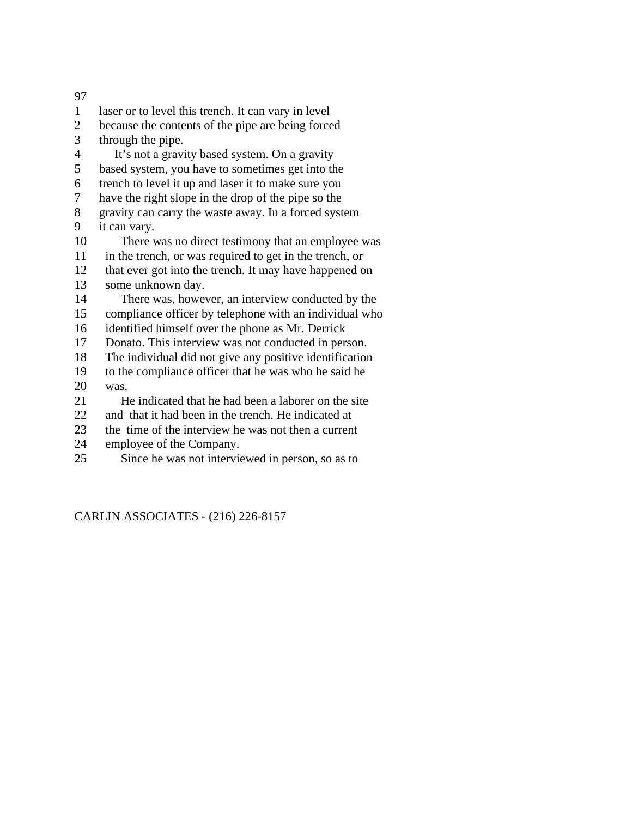1 laser or to level this trench. It can vary in level 2 because the contents of the pipe are being forced 3 through the pipe. 4 It's not a gravity based system. On a gravity 5 based system, you have to sometimes get into the 6 trench to level it up and laser it to make sure you 7 have the right slope in the drop of the pipe so the 8 gravity can carry the waste away. In a forced system 9 it can vary. 10 There was no direct testimony that an employee was 11 in the trench, or was required to get in the trench, or 12 that ever got into the trench. It may have happened on 13 some unknown day. 14 There was, however, an interview conducted by the 15 compliance officer by telephone with an individual who 16 identified himself over the phone as Mr. Derrick 17 Donato. This interview was not conducted in person. 18 The individual did not give any positive identification 19 to the compliance officer that he was who he said he 20 was. 21 He indicated that he had been a laborer on the site 22 and that it had been in the trench. He indicated at 23 the time of the interview he was not then a current 24 employee of the Company. 25 Since he was not interviewed in person, so as to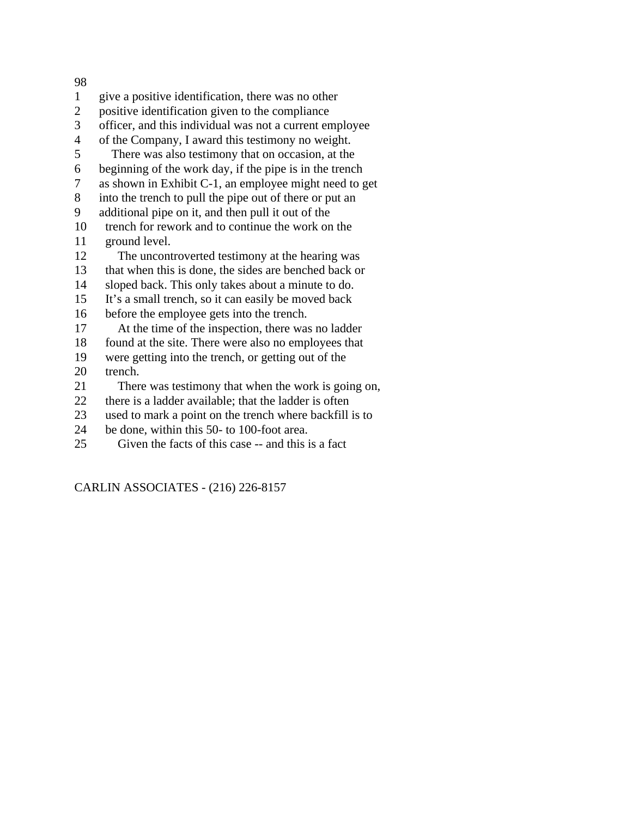- 1 give a positive identification, there was no other
- 2 positive identification given to the compliance
- 3 officer, and this individual was not a current employee
- 4 of the Company, I award this testimony no weight.
- 5 There was also testimony that on occasion, at the
- 6 beginning of the work day, if the pipe is in the trench
- 7 as shown in Exhibit C-1, an employee might need to get
- 8 into the trench to pull the pipe out of there or put an
- 9 additional pipe on it, and then pull it out of the
- 10 trench for rework and to continue the work on the 11 ground level.
- 12 The uncontroverted testimony at the hearing was
- 13 that when this is done, the sides are benched back or
- 14 sloped back. This only takes about a minute to do.
- 15 It's a small trench, so it can easily be moved back
- 16 before the employee gets into the trench.
- 17 At the time of the inspection, there was no ladder
- 18 found at the site. There were also no employees that
- 19 were getting into the trench, or getting out of the 20 trench.
- 21 There was testimony that when the work is going on,
- 22 there is a ladder available; that the ladder is often
- 23 used to mark a point on the trench where backfill is to
- 24 be done, within this 50- to 100-foot area.
- 25 Given the facts of this case -- and this is a fact